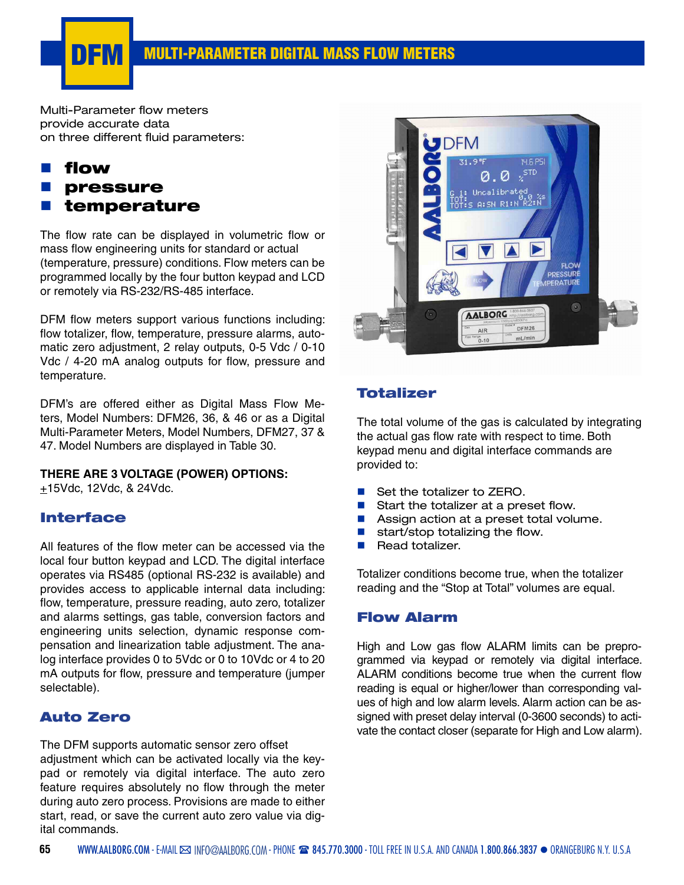

Multi-Parameter flow meters provide accurate data on three different fluid parameters:

## flow **pressure** temperature

The flow rate can be displayed in volumetric flow or mass flow engineering units for standard or actual (temperature, pressure) conditions. Flow meters can be programmed locally by the four button keypad and LCD or remotely via RS-232/RS-485 interface.

DFM flow meters support various functions including: flow totalizer, flow, temperature, pressure alarms, automatic zero adjustment, 2 relay outputs, 0-5 Vdc / 0-10 Vdc / 4-20 mA analog outputs for flow, pressure and temperature.

DFM's are offered either as Digital Mass Flow Meters, Model Numbers: DFM26, 36, & 46 or as a Digital Multi-Parameter Meters, Model Numbers, DFM27, 37 & 47. Model Numbers are displayed in Table 30.

#### **THERE ARE 3 VOLTAGE (POWER) OPTIONS:**

 $+15$ Vdc, 12Vdc, & 24Vdc.

#### Interface

All features of the flow meter can be accessed via the local four button keypad and LCD. The digital interface operates via RS485 (optional RS-232 is available) and provides access to applicable internal data including: flow, temperature, pressure reading, auto zero, totalizer and alarms settings, gas table, conversion factors and engineering units selection, dynamic response compensation and linearization table adjustment. The analog interface provides 0 to 5Vdc or 0 to 10Vdc or 4 to 20 mA outputs for flow, pressure and temperature (jumper selectable).

#### Auto Zero

The DFM supports automatic sensor zero offset adjustment which can be activated locally via the keypad or remotely via digital interface. The auto zero feature requires absolutely no flow through the meter during auto zero process. Provisions are made to either start, read, or save the current auto zero value via digital commands.



#### Totalizer

The total volume of the gas is calculated by integrating the actual gas flow rate with respect to time. Both keypad menu and digital interface commands are provided to:

- Set the totalizer to ZERO.
- Start the totalizer at a preset flow.
- Assign action at a preset total volume.
- $\blacksquare$  start/stop totalizing the flow.
- Read totalizer.

Totalizer conditions become true, when the totalizer reading and the "Stop at Total" volumes are equal.

#### Flow Alarm

High and Low gas flow ALARM limits can be preprogrammed via keypad or remotely via digital interface. ALARM conditions become true when the current flow reading is equal or higher/lower than corresponding values of high and low alarm levels. Alarm action can be assigned with preset delay interval (0-3600 seconds) to activate the contact closer (separate for High and Low alarm).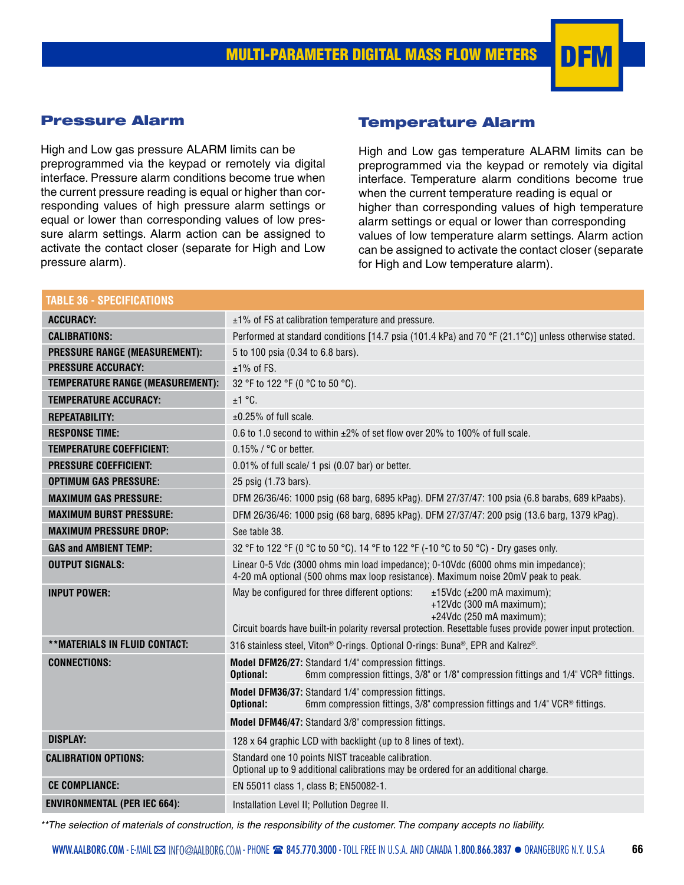

## Pressure Alarm

High and Low gas pressure ALARM limits can be preprogrammed via the keypad or remotely via digital interface. Pressure alarm conditions become true when the current pressure reading is equal or higher than corresponding values of high pressure alarm settings or equal or lower than corresponding values of low pressure alarm settings. Alarm action can be assigned to activate the contact closer (separate for High and Low pressure alarm).

## Temperature Alarm

High and Low gas temperature ALARM limits can be preprogrammed via the keypad or remotely via digital interface. Temperature alarm conditions become true when the current temperature reading is equal or higher than corresponding values of high temperature alarm settings or equal or lower than corresponding values of low temperature alarm settings. Alarm action can be assigned to activate the contact closer (separate for High and Low temperature alarm).

| <b>TABLE 36 - SPECIFICATIONS</b>        |                                                                                                                                                                                                                                                          |  |  |  |  |  |  |
|-----------------------------------------|----------------------------------------------------------------------------------------------------------------------------------------------------------------------------------------------------------------------------------------------------------|--|--|--|--|--|--|
| <b>ACCURACY:</b>                        | $\pm$ 1% of FS at calibration temperature and pressure.                                                                                                                                                                                                  |  |  |  |  |  |  |
| <b>CALIBRATIONS:</b>                    | Performed at standard conditions [14.7 psia (101.4 kPa) and 70 °F (21.1 °C)] unless otherwise stated.                                                                                                                                                    |  |  |  |  |  |  |
| <b>PRESSURE RANGE (MEASUREMENT):</b>    | 5 to 100 psia (0.34 to 6.8 bars).                                                                                                                                                                                                                        |  |  |  |  |  |  |
| <b>PRESSURE ACCURACY:</b>               | $±1\%$ of FS.                                                                                                                                                                                                                                            |  |  |  |  |  |  |
| <b>TEMPERATURE RANGE (MEASUREMENT):</b> | 32 °F to 122 °F (0 °C to 50 °C).                                                                                                                                                                                                                         |  |  |  |  |  |  |
| <b>TEMPERATURE ACCURACY:</b>            | ±1 °C.                                                                                                                                                                                                                                                   |  |  |  |  |  |  |
| <b>REPEATABILITY:</b>                   | $\pm 0.25\%$ of full scale.                                                                                                                                                                                                                              |  |  |  |  |  |  |
| <b>RESPONSE TIME:</b>                   | 0.6 to 1.0 second to within $\pm$ 2% of set flow over 20% to 100% of full scale.                                                                                                                                                                         |  |  |  |  |  |  |
| <b>TEMPERATURE COEFFICIENT:</b>         | $0.15\%$ / $^{\circ}$ C or better.                                                                                                                                                                                                                       |  |  |  |  |  |  |
| <b>PRESSURE COEFFICIENT:</b>            | 0.01% of full scale/ 1 psi (0.07 bar) or better.                                                                                                                                                                                                         |  |  |  |  |  |  |
| <b>OPTIMUM GAS PRESSURE:</b>            | 25 psig (1.73 bars).                                                                                                                                                                                                                                     |  |  |  |  |  |  |
| <b>MAXIMUM GAS PRESSURE:</b>            | DFM 26/36/46: 1000 psig (68 barg, 6895 kPag). DFM 27/37/47: 100 psia (6.8 barabs, 689 kPaabs).                                                                                                                                                           |  |  |  |  |  |  |
| <b>MAXIMUM BURST PRESSURE:</b>          | DFM 26/36/46: 1000 psig (68 barg, 6895 kPag). DFM 27/37/47: 200 psig (13.6 barg, 1379 kPag).                                                                                                                                                             |  |  |  |  |  |  |
| <b>MAXIMUM PRESSURE DROP:</b>           | See table 38.                                                                                                                                                                                                                                            |  |  |  |  |  |  |
| <b>GAS and AMBIENT TEMP:</b>            | 32 °F to 122 °F (0 °C to 50 °C). 14 °F to 122 °F (-10 °C to 50 °C) - Dry gases only.                                                                                                                                                                     |  |  |  |  |  |  |
| <b>OUTPUT SIGNALS:</b>                  | Linear 0-5 Vdc (3000 ohms min load impedance); 0-10Vdc (6000 ohms min impedance);<br>4-20 mA optional (500 ohms max loop resistance). Maximum noise 20mV peak to peak.                                                                                   |  |  |  |  |  |  |
| <b>INPUT POWER:</b>                     | May be configured for three different options:<br>$±15$ Vdc ( $±200$ mA maximum);<br>+12Vdc (300 mA maximum);<br>+24Vdc (250 mA maximum);<br>Circuit boards have built-in polarity reversal protection. Resettable fuses provide power input protection. |  |  |  |  |  |  |
| **MATERIALS IN FLUID CONTACT:           | 316 stainless steel, Viton® O-rings. Optional O-rings: Buna®, EPR and Kalrez®.                                                                                                                                                                           |  |  |  |  |  |  |
| <b>CONNECTIONS:</b>                     | Model DFM26/27: Standard 1/4" compression fittings.<br>6mm compression fittings, 3/8" or 1/8" compression fittings and 1/4" VCR® fittings.<br>Optional:                                                                                                  |  |  |  |  |  |  |
|                                         | Model DFM36/37: Standard 1/4" compression fittings.<br>6mm compression fittings, 3/8" compression fittings and 1/4" VCR® fittings.<br>Optional:                                                                                                          |  |  |  |  |  |  |
|                                         | Model DFM46/47: Standard 3/8" compression fittings.                                                                                                                                                                                                      |  |  |  |  |  |  |
| <b>DISPLAY:</b>                         | 128 x 64 graphic LCD with backlight (up to 8 lines of text).                                                                                                                                                                                             |  |  |  |  |  |  |
| <b>CALIBRATION OPTIONS:</b>             | Standard one 10 points NIST traceable calibration.<br>Optional up to 9 additional calibrations may be ordered for an additional charge.                                                                                                                  |  |  |  |  |  |  |
| <b>CE COMPLIANCE:</b>                   | EN 55011 class 1, class B; EN50082-1.                                                                                                                                                                                                                    |  |  |  |  |  |  |
| <b>ENVIRONMENTAL (PER IEC 664):</b>     | Installation Level II; Pollution Degree II.                                                                                                                                                                                                              |  |  |  |  |  |  |

*\*\*The selection of materials of construction, is the responsibility of the customer. The company accepts no liability.*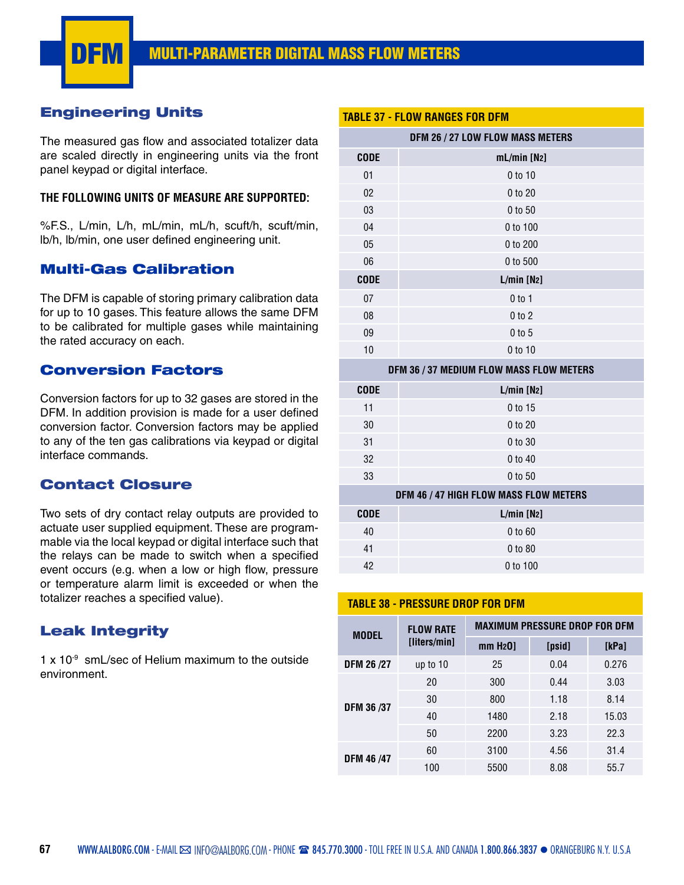

#### Engineering Units

The measured gas flow and associated totalizer data are scaled directly in engineering units via the front panel keypad or digital interface.

#### **THE FOLLOWING UNITS OF MEASURE ARE SUPPORTED:**

%F.S., L/min, L/h, mL/min, mL/h, scuft/h, scuft/min, lb/h, lb/min, one user defined engineering unit.

#### Multi-Gas Calibration

The DFM is capable of storing primary calibration data for up to 10 gases. This feature allows the same DFM to be calibrated for multiple gases while maintaining the rated accuracy on each.

#### Conversion Factors

Conversion factors for up to 32 gases are stored in the DFM. In addition provision is made for a user defined conversion factor. Conversion factors may be applied to any of the ten gas calibrations via keypad or digital interface commands.

#### Contact Closure

Two sets of dry contact relay outputs are provided to actuate user supplied equipment. These are programmable via the local keypad or digital interface such that the relays can be made to switch when a specified event occurs (e.g. when a low or high flow, pressure or temperature alarm limit is exceeded or when the totalizer reaches a specified value).

### Leak Integrity

 $1 \times 10^{-9}$  smL/sec of Helium maximum to the outside environment.

|                                  | <b>TABLE 37 - FLOW RANGES FOR DFM</b>    |  |  |  |  |  |  |  |
|----------------------------------|------------------------------------------|--|--|--|--|--|--|--|
| DFM 26 / 27 LOW FLOW MASS METERS |                                          |  |  |  |  |  |  |  |
| <b>CODE</b>                      | $mL/min$ [N <sub>2</sub> ]               |  |  |  |  |  |  |  |
| 01                               | 0 to 10                                  |  |  |  |  |  |  |  |
| 02                               | 0 to 20                                  |  |  |  |  |  |  |  |
| 03                               | 0 to 50                                  |  |  |  |  |  |  |  |
| 04                               | 0 to 100                                 |  |  |  |  |  |  |  |
| 05                               | 0 to 200                                 |  |  |  |  |  |  |  |
| 06                               | 0 to 500                                 |  |  |  |  |  |  |  |
| <b>CODE</b>                      | $L/min$ [N <sub>2</sub> ]                |  |  |  |  |  |  |  |
| 07                               | $0$ to 1                                 |  |  |  |  |  |  |  |
| 08                               | $0$ to $2$                               |  |  |  |  |  |  |  |
| 09                               | $0$ to $5$                               |  |  |  |  |  |  |  |
| 10                               | 0 to 10                                  |  |  |  |  |  |  |  |
|                                  | DFM 36 / 37 MEDIUM FLOW MASS FLOW METERS |  |  |  |  |  |  |  |
| <b>CODE</b>                      | $L/min$ [N <sub>2</sub> ]                |  |  |  |  |  |  |  |
| 11                               | 0 to 15                                  |  |  |  |  |  |  |  |
| 30                               | 0 to 20                                  |  |  |  |  |  |  |  |
| 31                               | 0 to 30                                  |  |  |  |  |  |  |  |
| 32                               | 0 to 40                                  |  |  |  |  |  |  |  |
| 33                               | 0 to 50                                  |  |  |  |  |  |  |  |
|                                  | DFM 46 / 47 HIGH FLOW MASS FLOW METERS   |  |  |  |  |  |  |  |
| <b>CODE</b>                      | $L/min$ [N <sub>2</sub> ]                |  |  |  |  |  |  |  |
| 40                               | 0 to 60                                  |  |  |  |  |  |  |  |
| 41                               | 0 to 80                                  |  |  |  |  |  |  |  |

#### **TABLE 38 - PRESSURE DROP FOR DFM**

42 0 to 100

| <b>MODEL</b>      | <b>FLOW RATE</b> | <b>MAXIMUM PRESSURE DROP FOR DFM</b> |        |       |  |  |  |
|-------------------|------------------|--------------------------------------|--------|-------|--|--|--|
|                   | [liters/min]     | $mm H20$ ]                           | [psid] | [kPa] |  |  |  |
| <b>DFM 26 /27</b> | up to $10$       | 25                                   | 0.04   | 0.276 |  |  |  |
|                   | 20               | 300                                  | 0.44   | 3.03  |  |  |  |
| <b>DFM 36/37</b>  | 30               | 800                                  | 1.18   | 8.14  |  |  |  |
|                   | 40               | 1480                                 | 2.18   | 15.03 |  |  |  |
|                   | 50               | 2200                                 | 3.23   | 22.3  |  |  |  |
| <b>DFM 46/47</b>  | 60               | 3100                                 | 4.56   | 31.4  |  |  |  |
|                   | 100              | 5500                                 | 8.08   | 55.7  |  |  |  |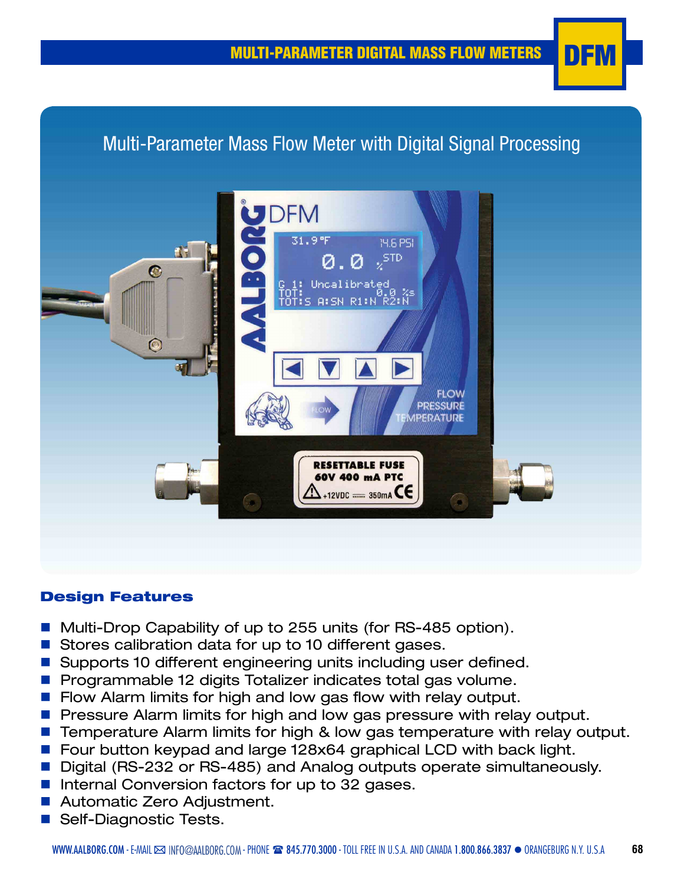# Multi-Parameter Mass Flow Meter with Digital Signal Processing



#### Design Features

- Multi-Drop Capability of up to 255 units (for RS-485 option).
- Stores calibration data for up to 10 different gases.
- Supports 10 different engineering units including user defined.
- **n** Programmable 12 digits Totalizer indicates total gas volume.
- **n** Flow Alarm limits for high and low gas flow with relay output.
- **n** Pressure Alarm limits for high and low gas pressure with relay output.
- Temperature Alarm limits for high & low gas temperature with relay output.
- Four button keypad and large 128x64 graphical LCD with back light.
- Digital (RS-232 or RS-485) and Analog outputs operate simultaneously.
- Internal Conversion factors for up to 32 gases.
- Automatic Zero Adjustment.
- Self-Diagnostic Tests.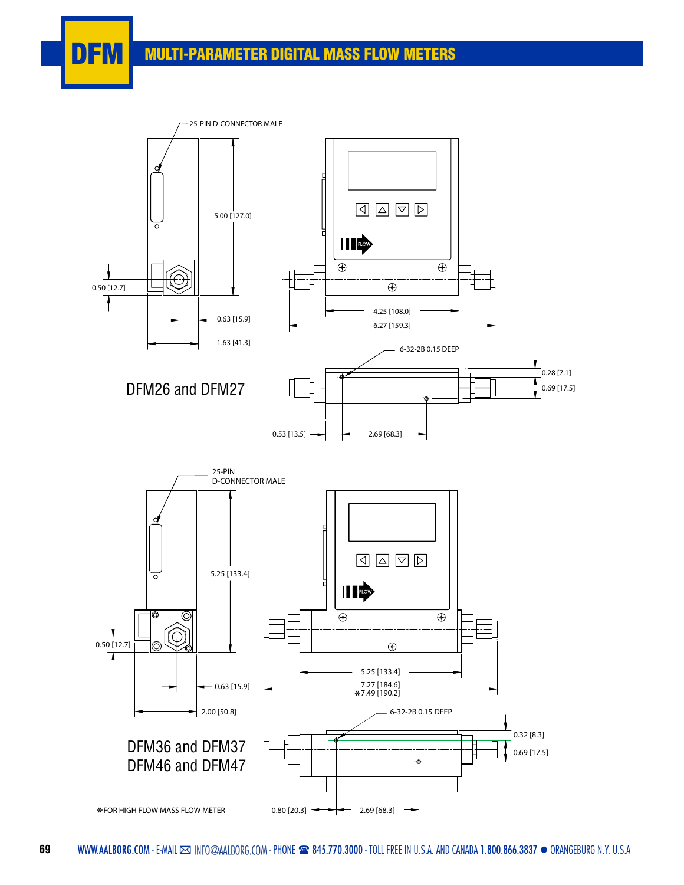## **DFM** MULTI-PARAMETER DIGITAL MASS FLOW METERS